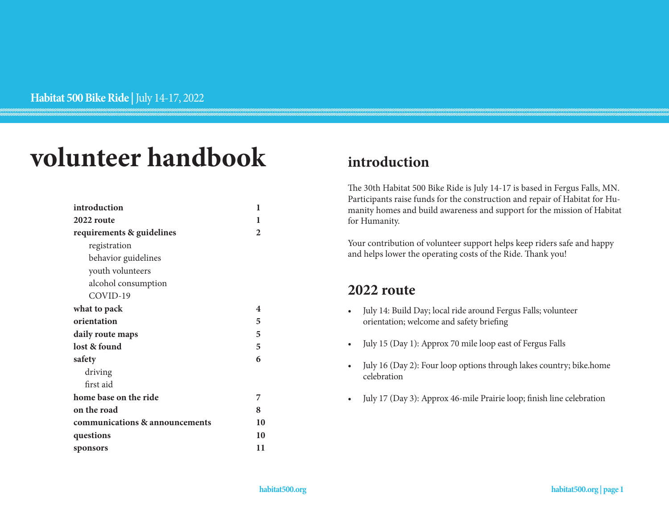# **volunteer handbook**

| introduction                   | 1            |
|--------------------------------|--------------|
| 2022 route                     | ı            |
| requirements & guidelines      | $\mathbf{2}$ |
| registration                   |              |
| behavior guidelines            |              |
| youth volunteers               |              |
| alcohol consumption            |              |
| COVID-19                       |              |
| what to pack                   | 4            |
| orientation                    | 5            |
| daily route maps               | 5            |
| lost & found                   | 5            |
| safety                         | 6            |
| driving                        |              |
| first aid                      |              |
| home base on the ride          | 7            |
| on the road                    | 8            |
| communications & announcements | 10           |
| questions                      | 10           |
| sponsors                       | 11           |

# **introduction**

The 30th Habitat 500 Bike Ride is July 14-17 is based in Fergus Falls, MN. Participants raise funds for the construction and repair of Habitat for Humanity homes and build awareness and support for the mission of Habitat for Humanity.

Your contribution of volunteer support helps keep riders safe and happy and helps lower the operating costs of the Ride. Thank you!

# **2022 route**

- July 14: Build Day; local ride around Fergus Falls; volunteer orientation; welcome and safety briefing
- July 15 (Day 1): Approx 70 mile loop east of Fergus Falls
- July 16 (Day 2): Four loop options through lakes country; bike.home celebration
- July 17 (Day 3): Approx 46-mile Prairie loop; finish line celebration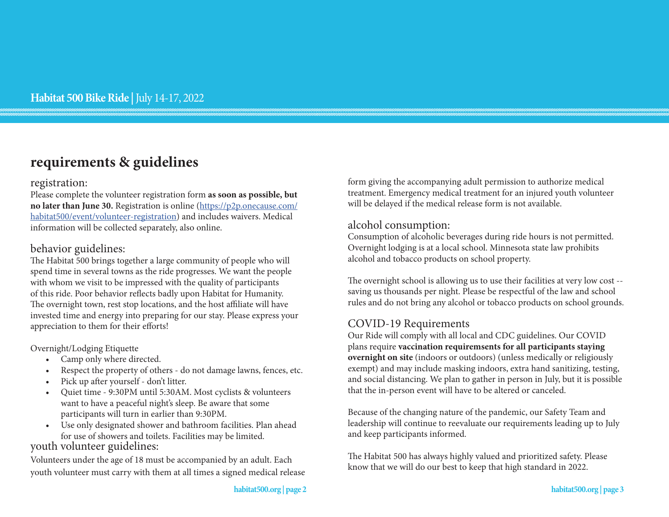# **requirements & guidelines**

#### registration:

Please complete the volunteer registration form **as soon as possible, but no later than June 30.** Registration is online [\(https://p2p.onecause.com/](https://p2p.onecause.com/habitat500/event/volunteer-registration) [habitat500/event/volunteer-registration\)](https://p2p.onecause.com/habitat500/event/volunteer-registration) and includes waivers. Medical information will be collected separately, also online.

### behavior guidelines:

The Habitat 500 brings together a large community of people who will spend time in several towns as the ride progresses. We want the people with whom we visit to be impressed with the quality of participants of this ride. Poor behavior reflects badly upon Habitat for Humanity. The overnight town, rest stop locations, and the host affiliate will have invested time and energy into preparing for our stay. Please express your appreciation to them for their efforts!

Overnight/Lodging Etiquette

- Camp only where directed.
- Respect the property of others do not damage lawns, fences, etc.
- Pick up after yourself don't litter.
- Quiet time 9:30PM until 5:30AM. Most cyclists & volunteers want to have a peaceful night's sleep. Be aware that some participants will turn in earlier than 9:30PM.
- Use only designated shower and bathroom facilities. Plan ahead for use of showers and toilets. Facilities may be limited.

### youth volunteer guidelines:

Volunteers under the age of 18 must be accompanied by an adult. Each youth volunteer must carry with them at all times a signed medical release form giving the accompanying adult permission to authorize medical treatment. Emergency medical treatment for an injured youth volunteer will be delayed if the medical release form is not available.

#### alcohol consumption:

Consumption of alcoholic beverages during ride hours is not permitted. Overnight lodging is at a local school. Minnesota state law prohibits alcohol and tobacco products on school property.

The overnight school is allowing us to use their facilities at very low cost - saving us thousands per night. Please be respectful of the law and school rules and do not bring any alcohol or tobacco products on school grounds.

### COVID-19 Requirements

Our Ride will comply with all local and CDC guidelines. Our COVID plans require **vaccination requiremsents for all participants staying overnight on site** (indoors or outdoors) (unless medically or religiously exempt) and may include masking indoors, extra hand sanitizing, testing, and social distancing. We plan to gather in person in July, but it is possible that the in-person event will have to be altered or canceled.

Because of the changing nature of the pandemic, our Safety Team and leadership will continue to reevaluate our requirements leading up to July and keep participants informed.

The Habitat 500 has always highly valued and prioritized safety. Please know that we will do our best to keep that high standard in 2022.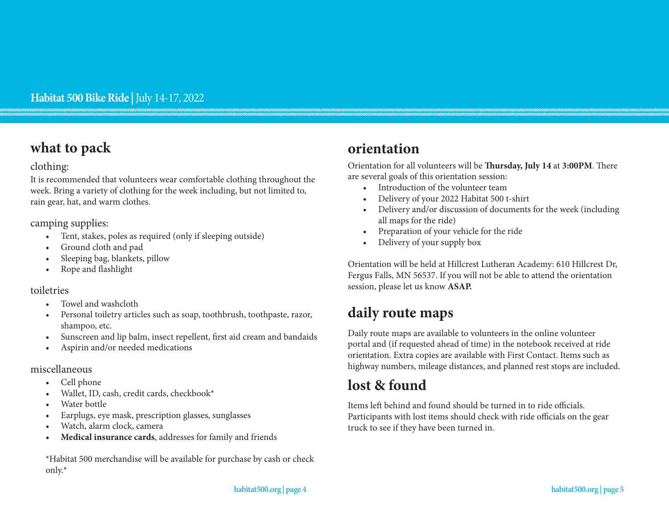# **what to pack**

#### clothing:

It is recommended that volunteers wear comfortable clothing throughout the week. Bring a variety of clothing for the week including, but not limited to, rain gear, hat, and warm clothes.

camping supplies:

- Tent, stakes, poles as required (only if sleeping outside)
- Ground cloth and pad
- Sleeping bag, blankets, pillow
- Rope and flashlight

### toiletries

- Towel and washcloth
- Personal toiletry articles such as soap, toothbrush, toothpaste, razor, shampoo, etc.
- Sunscreen and lip balm, insect repellent, first aid cream and bandaids
- Aspirin and/or needed medications

#### miscellaneous

- Cell phone
- Wallet, ID, cash, credit cards, checkbook\*
- Water bottle
- Earplugs, eye mask, prescription glasses, sunglasses
- Watch, alarm clock, camera
- **• Medical insurance cards**, addresses for family and friends

\*Habitat 500 merchandise will be available for purchase by cash or check only.\*

# **orientation**

Orientation for all volunteers will be **Thursday, July 14** at **3:00PM**. There are several goals of this orientation session:

- Introduction of the volunteer team
- Delivery of your 2022 Habitat 500 t-shirt
- Delivery and/or discussion of documents for the week (including all maps for the ride)
- Preparation of your vehicle for the ride
- Delivery of your supply box

Orientation will be held at Hillcrest Lutheran Academy: 610 Hillcrest Dr, Fergus Falls, MN 56537. If you will not be able to attend the orientation session, please let us know **ASAP.**

# **daily route maps**

Daily route maps are available to volunteers in the online volunteer portal and (if requested ahead of time) in the notebook received at ride orientation. Extra copies are available with First Contact. Items such as highway numbers, mileage distances, and planned rest stops are included.

# **lost & found**

Items left behind and found should be turned in to ride officials. Participants with lost items should check with ride officials on the gear truck to see if they have been turned in.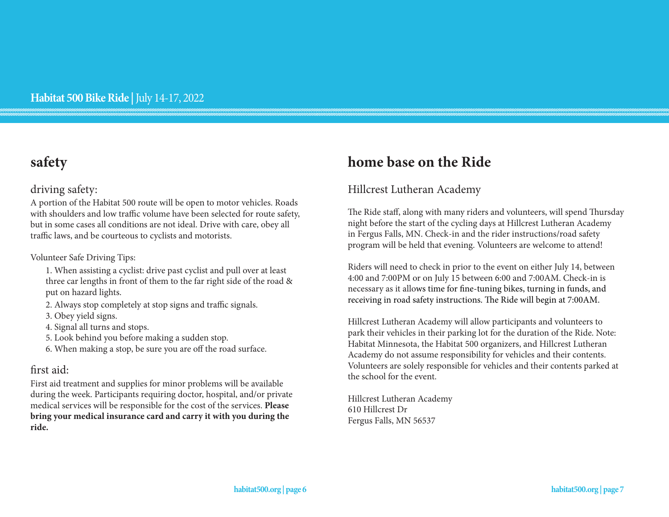# **safety**

### driving safety:

A portion of the Habitat 500 route will be open to motor vehicles. Roads with shoulders and low traffic volume have been selected for route safety, but in some cases all conditions are not ideal. Drive with care, obey all traffic laws, and be courteous to cyclists and motorists.

#### Volunteer Safe Driving Tips:

- 1. When assisting a cyclist: drive past cyclist and pull over at least three car lengths in front of them to the far right side of the road & put on hazard lights.
- 2. Always stop completely at stop signs and traffic signals.
- 3. Obey yield signs.
- 4. Signal all turns and stops.
- 5. Look behind you before making a sudden stop.
- 6. When making a stop, be sure you are off the road surface.

### first aid:

First aid treatment and supplies for minor problems will be available during the week. Participants requiring doctor, hospital, and/or private medical services will be responsible for the cost of the services. **Please bring your medical insurance card and carry it with you during the ride.**

# **home base on the Ride**

### Hillcrest Lutheran Academy

The Ride staff, along with many riders and volunteers, will spend Thursday night before the start of the cycling days at Hillcrest Lutheran Academy in Fergus Falls, MN. Check-in and the rider instructions/road safety program will be held that evening. Volunteers are welcome to attend!

Riders will need to check in prior to the event on either July 14, between 4:00 and 7:00PM or on July 15 between 6:00 and 7:00AM. Check-in is necessary as it allows time for fine-tuning bikes, turning in funds, and receiving in road safety instructions. The Ride will begin at 7:00AM.

Hillcrest Lutheran Academy will allow participants and volunteers to park their vehicles in their parking lot for the duration of the Ride. Note: Habitat Minnesota, the Habitat 500 organizers, and Hillcrest Lutheran Academy do not assume responsibility for vehicles and their contents. Volunteers are solely responsible for vehicles and their contents parked at the school for the event.

Hillcrest Lutheran Academy 610 Hillcrest Dr Fergus Falls, MN 56537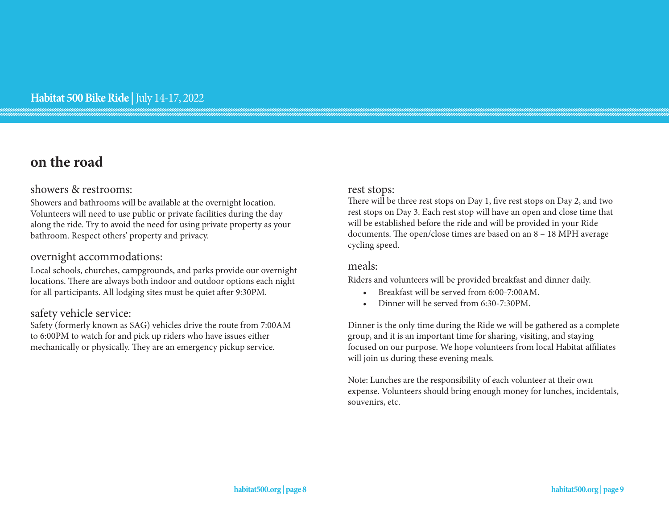# **on the road**

#### showers & restrooms:

Showers and bathrooms will be available at the overnight location. Volunteers will need to use public or private facilities during the day along the ride. Try to avoid the need for using private property as your bathroom. Respect others' property and privacy.

#### overnight accommodations:

Local schools, churches, campgrounds, and parks provide our overnight locations. There are always both indoor and outdoor options each night for all participants. All lodging sites must be quiet after 9:30PM.

#### safety vehicle service:

Safety (formerly known as SAG) vehicles drive the route from 7:00AM to 6:00PM to watch for and pick up riders who have issues either mechanically or physically. They are an emergency pickup service.

#### rest stops:

There will be three rest stops on Day 1, five rest stops on Day 2, and two rest stops on Day 3. Each rest stop will have an open and close time that will be established before the ride and will be provided in your Ride documents. The open/close times are based on an 8 – 18 MPH average cycling speed.

#### meals:

Riders and volunteers will be provided breakfast and dinner daily.

- Breakfast will be served from 6:00-7:00AM.
- Dinner will be served from 6:30-7:30PM.

Dinner is the only time during the Ride we will be gathered as a complete group, and it is an important time for sharing, visiting, and staying focused on our purpose. We hope volunteers from local Habitat affiliates will join us during these evening meals.

Note: Lunches are the responsibility of each volunteer at their own expense. Volunteers should bring enough money for lunches, incidentals, souvenirs, etc.